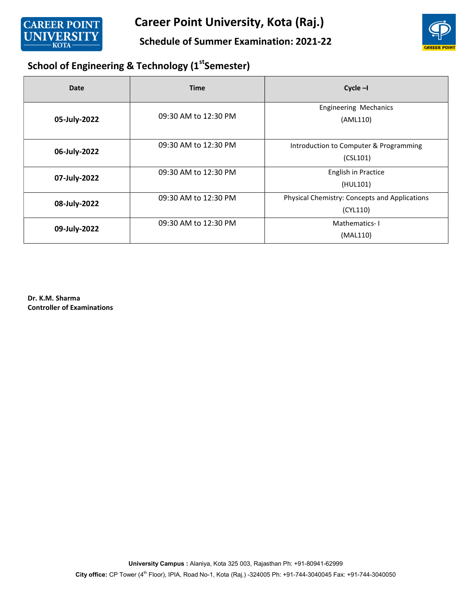

Schedule of Summer Examination: 2021-22



## School of Engineering & Technology (1st Semester)

| <b>Date</b>  | <b>Time</b>          | $Cycle - I$                                               |
|--------------|----------------------|-----------------------------------------------------------|
| 05-July-2022 | 09:30 AM to 12:30 PM | <b>Engineering Mechanics</b><br>(AML110)                  |
| 06-July-2022 | 09:30 AM to 12:30 PM | Introduction to Computer & Programming<br>(CSL101)        |
| 07-July-2022 | 09:30 AM to 12:30 PM | English in Practice<br>(HUL101)                           |
| 08-July-2022 | 09:30 AM to 12:30 PM | Physical Chemistry: Concepts and Applications<br>(CYL110) |
| 09-July-2022 | 09:30 AM to 12:30 PM | Mathematics-I<br>(MAL110)                                 |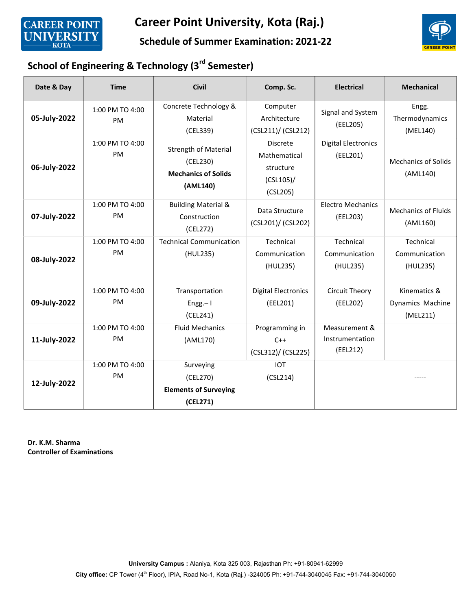

#### Schedule of Summer Examination: 2021-22



## School of Engineering & Technology (3<sup>rd</sup> Semester)

| Date & Day   | <b>Time</b>           | <b>Civil</b>                                                                      | Comp. Sc.                                                                | <b>Electrical</b>                            | <b>Mechanical</b>                            |
|--------------|-----------------------|-----------------------------------------------------------------------------------|--------------------------------------------------------------------------|----------------------------------------------|----------------------------------------------|
| 05-July-2022 | 1:00 PM TO 4:00<br>PM | Concrete Technology &<br>Material<br>(CEL339)                                     | Computer<br>Architecture<br>(CSL211)/ (CSL212)                           | Signal and System<br>(EEL205)                | Engg.<br>Thermodynamics<br>(MEL140)          |
| 06-July-2022 | 1:00 PM TO 4:00<br>PM | <b>Strength of Material</b><br>(CEL230)<br><b>Mechanics of Solids</b><br>(AML140) | <b>Discrete</b><br>Mathematical<br>structure<br>$(CSL105)$ /<br>(CSL205) | <b>Digital Electronics</b><br>(EEL201)       | <b>Mechanics of Solids</b><br>(AML140)       |
| 07-July-2022 | 1:00 PM TO 4:00<br>PM | <b>Building Material &amp;</b><br>Construction<br>(CEL272)                        | Data Structure<br>(CSL201)/ (CSL202)                                     | <b>Electro Mechanics</b><br>(EEL203)         | <b>Mechanics of Fluids</b><br>(AML160)       |
| 08-July-2022 | 1:00 PM TO 4:00<br>PM | <b>Technical Communication</b><br>(HUL235)                                        | Technical<br>Communication<br>(HUL235)                                   | Technical<br>Communication<br>(HUL235)       | Technical<br>Communication<br>(HUL235)       |
| 09-July-2022 | 1:00 PM TO 4:00<br>PM | Transportation<br>$Engg - I$<br>(CEL241)                                          | <b>Digital Electronics</b><br>(EEL201)                                   | <b>Circuit Theory</b><br>(EEL202)            | Kinematics &<br>Dynamics Machine<br>(MEL211) |
| 11-July-2022 | 1:00 PM TO 4:00<br>PM | <b>Fluid Mechanics</b><br>(AML170)                                                | Programming in<br>$C++$<br>(CSL312)/ (CSL225)                            | Measurement &<br>Instrumentation<br>(EEL212) |                                              |
| 12-July-2022 | 1:00 PM TO 4:00<br>PM | Surveying<br>(CEL270)<br><b>Elements of Surveying</b><br>(CEL271)                 | <b>IOT</b><br>(CSL214)                                                   |                                              |                                              |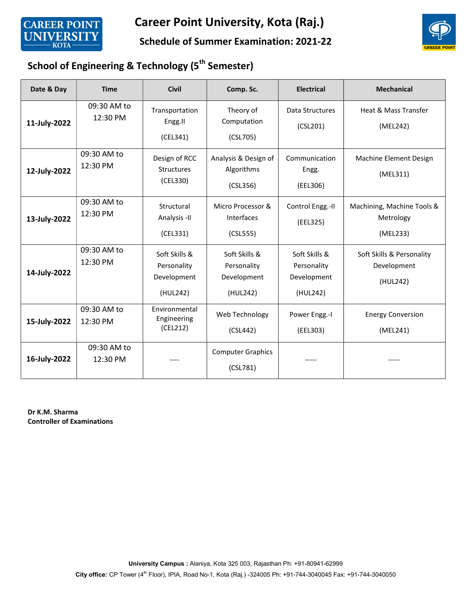

#### Schedule of Summer Examination: 2021-22



## School of Engineering & Technology (5<sup>th</sup> Semester)

| Date & Day   | <b>Time</b>             | <b>Civil</b>                                            | Comp. Sc.                                               | <b>Electrical</b>                                       | <b>Mechanical</b>                                    |
|--------------|-------------------------|---------------------------------------------------------|---------------------------------------------------------|---------------------------------------------------------|------------------------------------------------------|
| 11-July-2022 | 09:30 AM to<br>12:30 PM | Transportation<br>Engg.II<br>(CEL341)                   | Theory of<br>Computation<br>(CSL705)                    | Data Structures<br>(CSL201)                             | Heat & Mass Transfer<br>(MEL242)                     |
| 12-July-2022 | 09:30 AM to<br>12:30 PM | Design of RCC<br><b>Structures</b><br>(CEL330)          | Analysis & Design of<br>Algorithms<br>(CSL356)          | Communication<br>Engg.<br>(EEL306)                      | Machine Element Design<br>(MEL311)                   |
| 13-July-2022 | 09:30 AM to<br>12:30 PM | Structural<br>Analysis -II<br>(CEL331)                  | Micro Processor &<br>Interfaces<br>(CSL555)             | Control Engg.-II<br>(EEL325)                            | Machining, Machine Tools &<br>Metrology<br>(MEL233)  |
| 14-July-2022 | 09:30 AM to<br>12:30 PM | Soft Skills &<br>Personality<br>Development<br>(HUL242) | Soft Skills &<br>Personality<br>Development<br>(HUL242) | Soft Skills &<br>Personality<br>Development<br>(HUL242) | Soft Skills & Personality<br>Development<br>(HUL242) |
| 15-July-2022 | 09:30 AM to<br>12:30 PM | Environmental<br>Engineering<br>(CEL212)                | Web Technology<br>(CSL442)                              | Power Engg.-I<br>(EEL303)                               | <b>Energy Conversion</b><br>(MEL241)                 |
| 16-July-2022 | 09:30 AM to<br>12:30 PM |                                                         | <b>Computer Graphics</b><br>(CSL781)                    |                                                         |                                                      |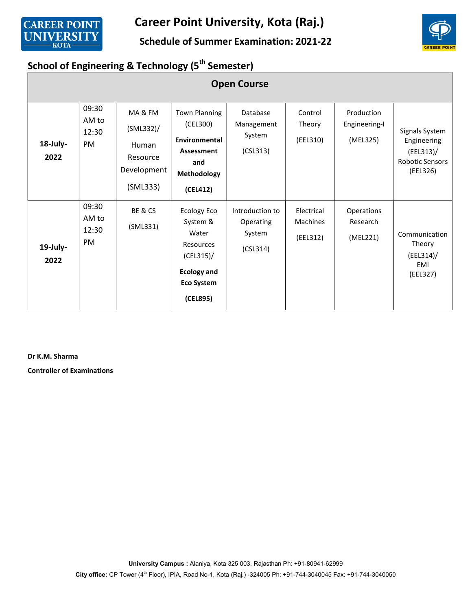

#### Schedule of Summer Examination: 2021-22



## School of Engineering & Technology (5<sup>th</sup> Semester)

|                  | <b>Open Course</b>                   |                                                                       |                                                                                                                      |                                                    |                                           |                                         |                                                                              |  |  |
|------------------|--------------------------------------|-----------------------------------------------------------------------|----------------------------------------------------------------------------------------------------------------------|----------------------------------------------------|-------------------------------------------|-----------------------------------------|------------------------------------------------------------------------------|--|--|
| 18-July-<br>2022 | 09:30<br>AM to<br>12:30<br><b>PM</b> | MA&FM<br>$(SML332)$ /<br>Human<br>Resource<br>Development<br>(SML333) | <b>Town Planning</b><br>(CEL300)<br>Environmental<br>Assessment<br>and<br>Methodology<br>(CEL412)                    | Database<br>Management<br>System<br>(CSL313)       | Control<br>Theory<br>(EEL310)             | Production<br>Engineering-I<br>(MEL325) | Signals System<br>Engineering<br>$(EEL313)$ /<br>Robotic Sensors<br>(EEL326) |  |  |
| 19-July-<br>2022 | 09:30<br>AM to<br>12:30<br>PM        | BE & CS<br>(SML331)                                                   | Ecology Eco<br>System &<br>Water<br>Resources<br>$(CEL315)$ /<br><b>Ecology and</b><br><b>Eco System</b><br>(CEL895) | Introduction to<br>Operating<br>System<br>(CSL314) | Electrical<br><b>Machines</b><br>(EEL312) | Operations<br>Research<br>(MEL221)      | Communication<br>Theory<br>$(EEL314)$ /<br>EMI<br>(EEL327)                   |  |  |

Dr K.M. Sharma

Controller of Examinations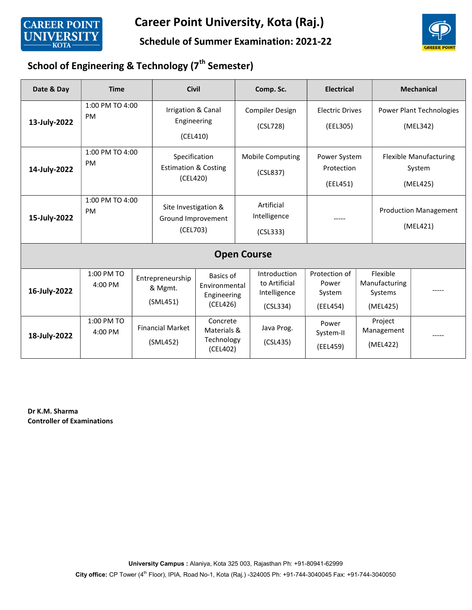

#### Schedule of Summer Examination: 2021-22



## School of Engineering & Technology (7<sup>th</sup> Semester)

| Date & Day         | <b>Time</b>                  |  | <b>Civil</b>                                                 |                                                       |  | Comp. Sc.                                                 | <b>Electrical</b>                            |                                                  | <b>Mechanical</b>                                   |
|--------------------|------------------------------|--|--------------------------------------------------------------|-------------------------------------------------------|--|-----------------------------------------------------------|----------------------------------------------|--------------------------------------------------|-----------------------------------------------------|
| 13-July-2022       | 1:00 PM TO 4:00<br><b>PM</b> |  | Irrigation & Canal<br>Engineering<br>(CEL410)                |                                                       |  | <b>Compiler Design</b><br>(CSL728)                        | <b>Electric Drives</b><br>(EEL305)           |                                                  | Power Plant Technologies<br>(MEL342)                |
| 14-July-2022       | 1:00 PM TO 4:00<br><b>PM</b> |  | Specification<br><b>Estimation &amp; Costing</b><br>(CEL420) |                                                       |  | <b>Mobile Computing</b><br>(CSL837)                       | Power System<br>Protection<br>(EEL451)       |                                                  | <b>Flexible Manufacturing</b><br>System<br>(MEL425) |
| 15-July-2022       | 1:00 PM TO 4:00<br><b>PM</b> |  | Site Investigation &<br>Ground Improvement<br>(CEL703)       |                                                       |  | Artificial<br>Intelligence<br>(CSL333)                    |                                              |                                                  | <b>Production Management</b><br>(MEL421)            |
| <b>Open Course</b> |                              |  |                                                              |                                                       |  |                                                           |                                              |                                                  |                                                     |
| 16-July-2022       | 1:00 PM TO<br>4:00 PM        |  | Entrepreneurship<br>& Mgmt.<br>(SML451)                      | Basics of<br>Environmental<br>Engineering<br>(CEL426) |  | Introduction<br>to Artificial<br>Intelligence<br>(CSL334) | Protection of<br>Power<br>System<br>(EEL454) | Flexible<br>Manufacturing<br>Systems<br>(MEL425) |                                                     |
| 18-July-2022       | 1:00 PM TO<br>4:00 PM        |  | <b>Financial Market</b><br>(SML452)                          | Concrete<br>Materials &<br>Technology<br>(CEL402)     |  | Java Prog.<br>(CSL435)                                    | Power<br>System-II<br>(EEL459)               | Project<br>Management<br>(MEL422)                |                                                     |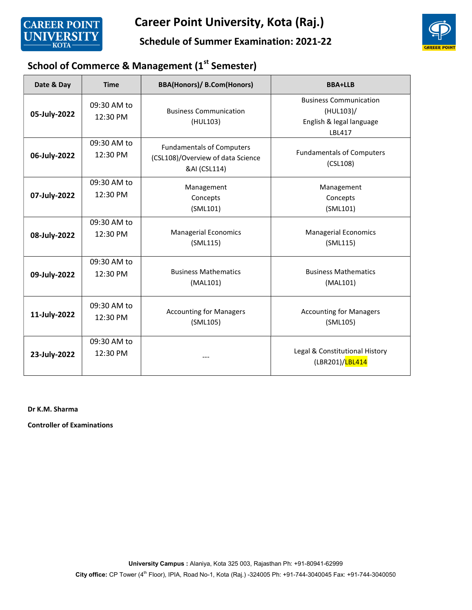

Schedule of Summer Examination: 2021-22



# School of Commerce & Management (1st Semester)

| Date & Day   | <b>Time</b>             | <b>BBA(Honors)/ B.Com(Honors)</b>                                                     | <b>BBA+LLB</b>                                                                   |
|--------------|-------------------------|---------------------------------------------------------------------------------------|----------------------------------------------------------------------------------|
| 05-July-2022 | 09:30 AM to<br>12:30 PM | <b>Business Communication</b><br>(HUL103)                                             | <b>Business Communication</b><br>(HUL103)/<br>English & legal language<br>LBL417 |
| 06-July-2022 | 09:30 AM to<br>12:30 PM | <b>Fundamentals of Computers</b><br>(CSL108)/Overview of data Science<br>&AI (CSL114) | <b>Fundamentals of Computers</b><br>(CSL108)                                     |
| 07-July-2022 | 09:30 AM to<br>12:30 PM | Management<br>Concepts<br>(SML101)                                                    | Management<br>Concepts<br>(SML101)                                               |
| 08-July-2022 | 09:30 AM to<br>12:30 PM | <b>Managerial Economics</b><br>(SML115)                                               | <b>Managerial Economics</b><br>(SML115)                                          |
| 09-July-2022 | 09:30 AM to<br>12:30 PM | <b>Business Mathematics</b><br>(MAL101)                                               | <b>Business Mathematics</b><br>(MAL101)                                          |
| 11-July-2022 | 09:30 AM to<br>12:30 PM | <b>Accounting for Managers</b><br>(SML105)                                            | <b>Accounting for Managers</b><br>(SML105)                                       |
| 23-July-2022 | 09:30 AM to<br>12:30 PM |                                                                                       | Legal & Constitutional History<br>(LBR201)/LBL414                                |

Dr K.M. Sharma

Controller of Examinations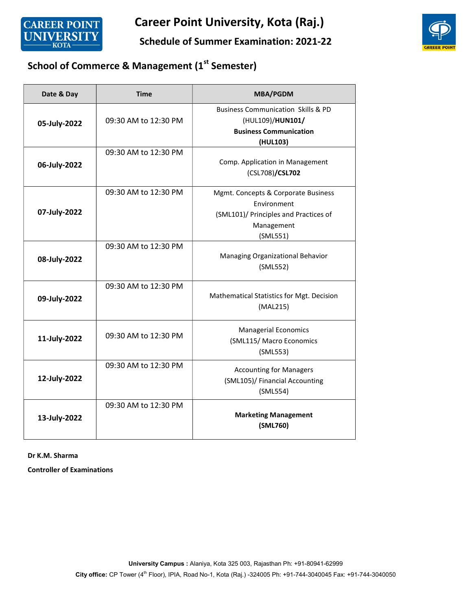

Schedule of Summer Examination: 2021-22



# School of Commerce & Management (1st Semester)

| Date & Day   | <b>Time</b>          | <b>MBA/PGDM</b>                                                                                                       |
|--------------|----------------------|-----------------------------------------------------------------------------------------------------------------------|
| 05-July-2022 | 09:30 AM to 12:30 PM | <b>Business Communication Skills &amp; PD</b><br>(HUL109)/HUN101/<br><b>Business Communication</b><br>(HUL103)        |
| 06-July-2022 | 09:30 AM to 12:30 PM | Comp. Application in Management<br>(CSL708)/CSL702                                                                    |
| 07-July-2022 | 09:30 AM to 12:30 PM | Mgmt. Concepts & Corporate Business<br>Environment<br>(SML101)/ Principles and Practices of<br>Management<br>(SML551) |
| 08-July-2022 | 09:30 AM to 12:30 PM | Managing Organizational Behavior<br>(SML552)                                                                          |
| 09-July-2022 | 09:30 AM to 12:30 PM | Mathematical Statistics for Mgt. Decision<br>(MAL215)                                                                 |
| 11-July-2022 | 09:30 AM to 12:30 PM | <b>Managerial Economics</b><br>(SML115/ Macro Economics<br>(SML553)                                                   |
| 12-July-2022 | 09:30 AM to 12:30 PM | <b>Accounting for Managers</b><br>(SML105)/ Financial Accounting<br>(SML554)                                          |
| 13-July-2022 | 09:30 AM to 12:30 PM | <b>Marketing Management</b><br>(SML760)                                                                               |

Dr K.M. Sharma

Controller of Examinations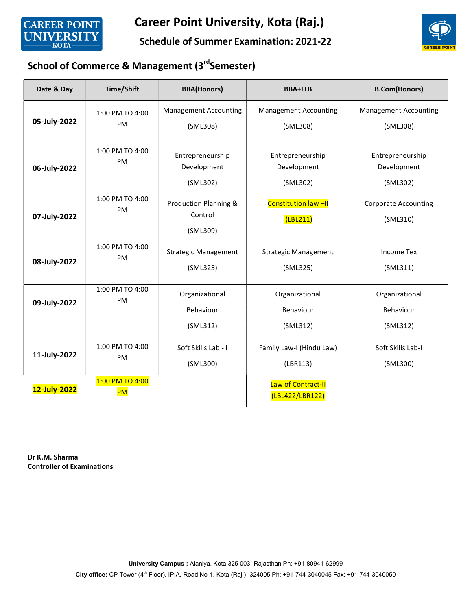

#### Schedule of Summer Examination: 2021-22



# School of Commerce & Management (3rdSemester)

| Date & Day   | Time/Shift                   | <b>BBA(Honors)</b>                           | <b>BBA+LLB</b>                              | <b>B.Com(Honors)</b>                        |
|--------------|------------------------------|----------------------------------------------|---------------------------------------------|---------------------------------------------|
| 05-July-2022 | 1:00 PM TO 4:00<br>PM        | <b>Management Accounting</b><br>(SML308)     | <b>Management Accounting</b><br>(SML308)    | <b>Management Accounting</b><br>(SML308)    |
| 06-July-2022 | 1:00 PM TO 4:00<br><b>PM</b> | Entrepreneurship<br>Development<br>(SML302)  | Entrepreneurship<br>Development<br>(SML302) | Entrepreneurship<br>Development<br>(SML302) |
| 07-July-2022 | 1:00 PM TO 4:00<br><b>PM</b> | Production Planning &<br>Control<br>(SML309) | <b>Constitution law-II</b><br>(LBL211)      | <b>Corporate Accounting</b><br>(SML310)     |
| 08-July-2022 | 1:00 PM TO 4:00<br><b>PM</b> | <b>Strategic Management</b><br>(SML325)      | <b>Strategic Management</b><br>(SML325)     | <b>Income Tex</b><br>(SML311)               |
| 09-July-2022 | 1:00 PM TO 4:00<br>PM        | Organizational<br>Behaviour<br>(SML312)      | Organizational<br>Behaviour<br>(SML312)     | Organizational<br>Behaviour<br>(SML312)     |
| 11-July-2022 | 1:00 PM TO 4:00<br>PM        | Soft Skills Lab - I<br>(SML300)              | Family Law-I (Hindu Law)<br>(LBR113)        | Soft Skills Lab-I<br>(SML300)               |
| 12-July-2022 | 1:00 PM TO 4:00<br><b>PM</b> |                                              | Law of Contract-II<br>(LBL422/LBR122)       |                                             |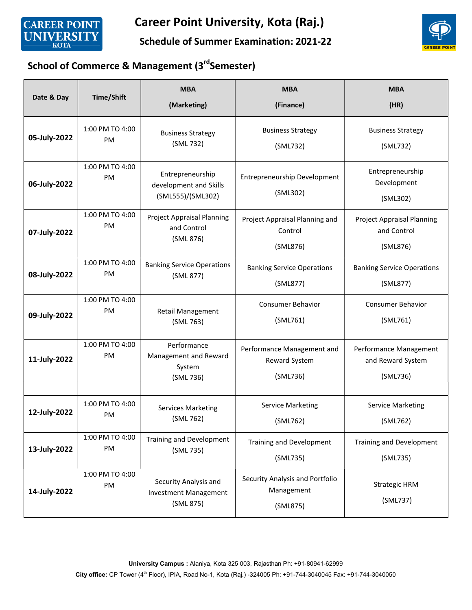

Schedule of Summer Examination: 2021-22



# School of Commerce & Management (3rdSemester)

| Date & Day   | <b>Time/Shift</b>            | <b>MBA</b><br>(Marketing)                                          | <b>MBA</b><br>(Finance)                                        | <b>MBA</b><br>(HR)                                           |
|--------------|------------------------------|--------------------------------------------------------------------|----------------------------------------------------------------|--------------------------------------------------------------|
| 05-July-2022 | 1:00 PM TO 4:00              | <b>Business Strategy</b>                                           | <b>Business Strategy</b>                                       | <b>Business Strategy</b>                                     |
|              | PM                           | (SML 732)                                                          | (SML732)                                                       | (SML732)                                                     |
| 06-July-2022 | 1:00 PM TO 4:00<br><b>PM</b> | Entrepreneurship<br>development and Skills<br>(SML555)/(SML302)    | Entrepreneurship Development<br>(SML302)                       | Entrepreneurship<br>Development<br>(SML302)                  |
| 07-July-2022 | 1:00 PM TO 4:00<br><b>PM</b> | Project Appraisal Planning<br>and Control<br>(SML 876)             | Project Appraisal Planning and<br>Control<br>(SML876)          | <b>Project Appraisal Planning</b><br>and Control<br>(SML876) |
| 08-July-2022 | 1:00 PM TO 4:00              | <b>Banking Service Operations</b>                                  | <b>Banking Service Operations</b>                              | <b>Banking Service Operations</b>                            |
|              | PM                           | (SML 877)                                                          | (SML877)                                                       | (SML877)                                                     |
| 09-July-2022 | 1:00 PM TO 4:00              | Retail Management                                                  | <b>Consumer Behavior</b>                                       | <b>Consumer Behavior</b>                                     |
|              | PM                           | (SML 763)                                                          | (SML761)                                                       | (SML761)                                                     |
| 11-July-2022 | 1:00 PM TO 4:00<br>PM        | Performance<br>Management and Reward<br>System<br>(SML 736)        | Performance Management and<br><b>Reward System</b><br>(SML736) | Performance Management<br>and Reward System<br>(SML736)      |
| 12-July-2022 | 1:00 PM TO 4:00              | <b>Services Marketing</b>                                          | <b>Service Marketing</b>                                       | <b>Service Marketing</b>                                     |
|              | PM                           | (SML 762)                                                          | (SML762)                                                       | (SML762)                                                     |
| 13-July-2022 | 1:00 PM TO 4:00              | Training and Development                                           | Training and Development                                       | <b>Training and Development</b>                              |
|              | PM                           | (SML 735)                                                          | (SML735)                                                       | (SML735)                                                     |
| 14-July-2022 | 1:00 PM TO 4:00<br>PM        | Security Analysis and<br><b>Investment Management</b><br>(SML 875) | Security Analysis and Portfolio<br>Management<br>(SML875)      | Strategic HRM<br>(SML737)                                    |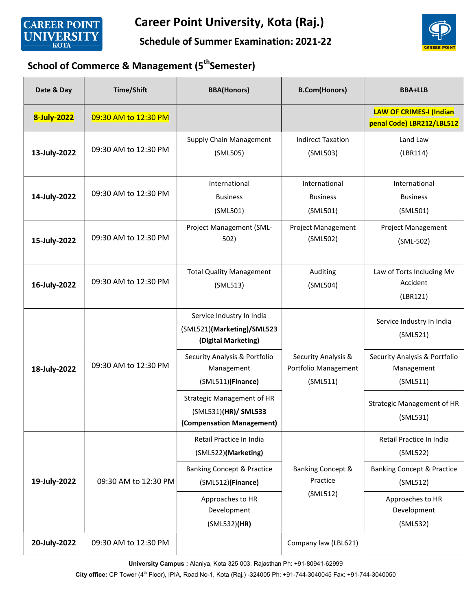

Schedule of Summer Examination: 2021-22



## School of Commerce & Management (5<sup>th</sup>Semester)

| Date & Day   | <b>Time/Shift</b>    | <b>BBA(Honors)</b>                                                                     | <b>B.Com(Honors)</b>                                    | <b>BBA+LLB</b>                                              |
|--------------|----------------------|----------------------------------------------------------------------------------------|---------------------------------------------------------|-------------------------------------------------------------|
| 8-July-2022  | 09:30 AM to 12:30 PM |                                                                                        |                                                         | <b>LAW OF CRIMES-I (Indian</b><br>penal Code) LBR212/LBL512 |
| 13-July-2022 | 09:30 AM to 12:30 PM | <b>Supply Chain Management</b><br>(SML505)                                             | <b>Indirect Taxation</b><br>(SML503)                    | Land Law<br>(LBR114)                                        |
| 14-July-2022 | 09:30 AM to 12:30 PM | International<br><b>Business</b><br>(SML501)                                           | International<br><b>Business</b><br>(SML501)            | International<br><b>Business</b><br>(SML501)                |
| 15-July-2022 | 09:30 AM to 12:30 PM | Project Management (SML-<br>502)                                                       | <b>Project Management</b><br>(SML502)                   | <b>Project Management</b><br>(SML-502)                      |
| 16-July-2022 | 09:30 AM to 12:30 PM | <b>Total Quality Management</b><br>(SML513)                                            | Auditing<br>(SML504)                                    | Law of Torts Including Mv<br>Accident<br>(LBR121)           |
|              |                      | Service Industry In India<br>(SML521)(Marketing)/SML523<br>(Digital Marketing)         |                                                         | Service Industry In India<br>(SML521)                       |
| 18-July-2022 | 09:30 AM to 12:30 PM | Security Analysis & Portfolio<br>Management<br>(SML511)(Finance)                       | Security Analysis &<br>Portfolio Management<br>(SML511) | Security Analysis & Portfolio<br>Management<br>(SML511)     |
|              |                      | <b>Strategic Management of HR</b><br>(SML531)(HR)/ SML533<br>(Compensation Management) |                                                         | Strategic Management of HR<br>(SML531)                      |
|              |                      | Retail Practice In India<br>(SML522)(Marketing)                                        |                                                         | Retail Practice In India<br>(SML522)                        |
| 19-July-2022 | 09:30 AM to 12:30 PM | <b>Banking Concept &amp; Practice</b><br>(SML512)(Finance)                             | <b>Banking Concept &amp;</b><br>Practice                | <b>Banking Concept &amp; Practice</b><br>(SML512)           |
|              |                      | Approaches to HR<br>Development<br>(SML532)(HR)                                        | (SML512)                                                | Approaches to HR<br>Development<br>(SML532)                 |
| 20-July-2022 | 09:30 AM to 12:30 PM |                                                                                        | Company law (LBL621)                                    |                                                             |

University Campus : Alaniya, Kota 325 003, Rajasthan Ph: +91-80941-62999

City office: CP Tower (4<sup>th</sup> Floor), IPIA, Road No-1, Kota (Raj.) -324005 Ph: +91-744-3040045 Fax: +91-744-3040050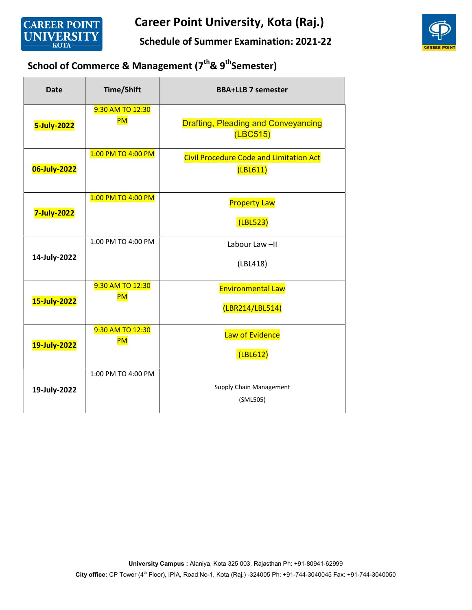

Schedule of Summer Examination: 2021-22



# School of Commerce & Management (7<sup>th</sup>& 9<sup>th</sup>Semester)

| <b>Date</b>  | <b>Time/Shift</b>             | <b>BBA+LLB 7 semester</b>                                  |
|--------------|-------------------------------|------------------------------------------------------------|
| 5-July-2022  | 9:30 AM TO 12:30<br><b>PM</b> | <b>Drafting, Pleading and Conveyancing</b><br>(LEC515)     |
| 06-July-2022 | 1:00 PM TO 4:00 PM            | <b>Civil Procedure Code and Limitation Act</b><br>(LBL611) |
| 7-July-2022  | 1:00 PM TO 4:00 PM            | <b>Property Law</b><br>(LBL523)                            |
| 14-July-2022 | 1:00 PM TO 4:00 PM            | Labour Law-II<br>(LBL418)                                  |
| 15-July-2022 | 9:30 AM TO 12:30<br><b>PM</b> | <b>Environmental Law</b><br>(LBR214/LBL514)                |
| 19-July-2022 | 9:30 AM TO 12:30<br><b>PM</b> | Law of Evidence<br>(LBL612)                                |
| 19-July-2022 | 1:00 PM TO 4:00 PM            | <b>Supply Chain Management</b><br>(SML505)                 |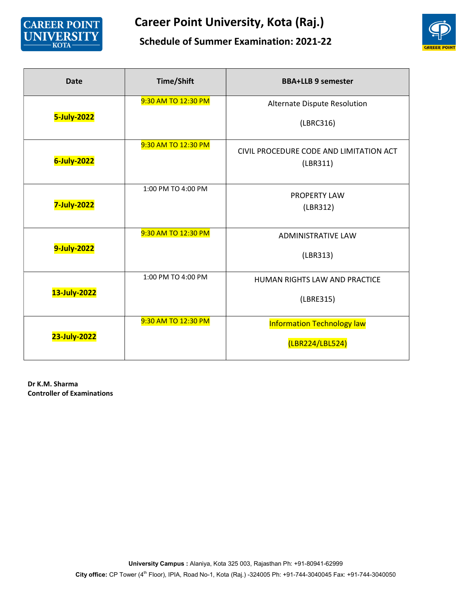

#### Schedule of Summer Examination: 2021-22



| <b>Date</b>  | <b>Time/Shift</b>   | <b>BBA+LLB 9 semester</b>                            |
|--------------|---------------------|------------------------------------------------------|
| 5-July-2022  | 9:30 AM TO 12:30 PM | Alternate Dispute Resolution<br>(LBRC316)            |
| 6-July-2022  | 9:30 AM TO 12:30 PM | CIVIL PROCEDURE CODE AND LIMITATION ACT<br>(LBR311)  |
| 7-July-2022  | 1:00 PM TO 4:00 PM  | <b>PROPERTY LAW</b><br>(LBR312)                      |
| 9-July-2022  | 9:30 AM TO 12:30 PM | <b>ADMINISTRATIVE LAW</b><br>(LBR313)                |
| 13-July-2022 | 1:00 PM TO 4:00 PM  | HUMAN RIGHTS LAW AND PRACTICE<br>(LBRE315)           |
| 23-July-2022 | 9:30 AM TO 12:30 PM | <b>Information Technology law</b><br>(LBR224/LBL524) |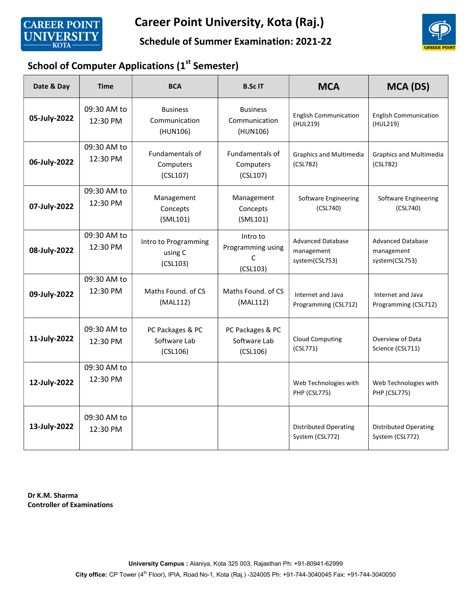

#### Schedule of Summer Examination: 2021-22



## School of Computer Applications (1st Semester)

| Date & Day   | <b>Time</b>                                                                                                                   | <b>BCA</b>                                   | <b>B.ScIT</b>                                  | <b>MCA</b>                                               | MCA (DS)                                                 |
|--------------|-------------------------------------------------------------------------------------------------------------------------------|----------------------------------------------|------------------------------------------------|----------------------------------------------------------|----------------------------------------------------------|
| 05-July-2022 | 09:30 AM to<br>12:30 PM                                                                                                       | <b>Business</b><br>Communication<br>(HUN106) | <b>Business</b><br>Communication<br>(HUN106)   | <b>English Communication</b><br>(HUL219)                 | <b>English Communication</b><br>(HUL219)                 |
| 06-July-2022 | 09:30 AM to<br><b>Fundamentals of</b><br><b>Fundamentals of</b><br>12:30 PM<br>Computers<br>Computers<br>(CSL107)<br>(CSL107) |                                              | <b>Graphics and Multimedia</b><br>(CSL782)     | <b>Graphics and Multimedia</b><br>(CSL782)               |                                                          |
| 07-July-2022 | 09:30 AM to<br>12:30 PM                                                                                                       | Management<br>Concepts<br>(SML101)           | Management<br>Concepts<br>(SML101)             | Software Engineering<br>(CSL740)                         | Software Engineering<br>(CSL740)                         |
| 08-July-2022 | 09:30 AM to<br>12:30 PM                                                                                                       | Intro to Programming<br>using C<br>(CSL103)  | Intro to<br>Programming using<br>C<br>(CSL103) | <b>Advanced Database</b><br>management<br>system(CSL753) | <b>Advanced Database</b><br>management<br>system(CSL753) |
| 09-July-2022 | 09:30 AM to<br>12:30 PM                                                                                                       | Maths Found, of CS<br>(MAL112)               | Maths Found, of CS<br>(MAL112)                 | Internet and Java<br>Programming (CSL712)                | Internet and Java<br>Programming (CSL712)                |
| 11-July-2022 | 09:30 AM to<br>12:30 PM                                                                                                       | PC Packages & PC<br>Software Lab<br>(CSL106) | PC Packages & PC<br>Software Lab<br>(CSL106)   | <b>Cloud Computing</b><br>(CSL771)                       | Overview of Data<br>Science (CSL711)                     |
| 12-July-2022 | 09:30 AM to<br>12:30 PM                                                                                                       |                                              |                                                | Web Technologies with<br><b>PHP (CSL775)</b>             | Web Technologies with<br><b>PHP (CSL775)</b>             |
| 13-July-2022 | 09:30 AM to<br>12:30 PM                                                                                                       |                                              |                                                | <b>Distributed Operating</b><br>System (CSL772)          | <b>Distributed Operating</b><br>System (CSL772)          |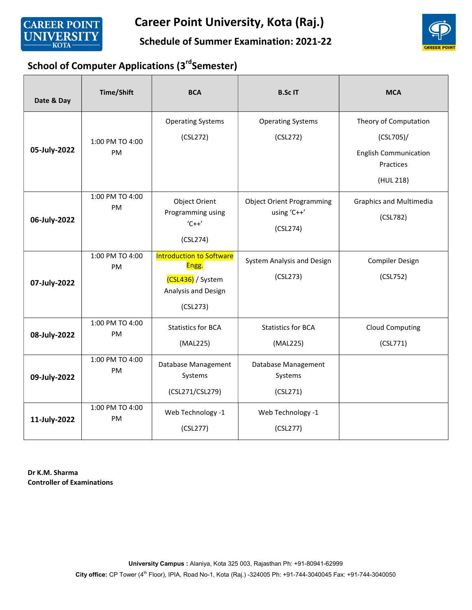

#### Schedule of Summer Examination: 2021-22



## School of Computer Applications (3<sup>rd</sup>Semester)

| Date & Day   | Time/Shift                   | <b>BCA</b>                                                                                       | <b>B.ScIT</b>                                               | <b>MCA</b>                                                                                   |
|--------------|------------------------------|--------------------------------------------------------------------------------------------------|-------------------------------------------------------------|----------------------------------------------------------------------------------------------|
| 05-July-2022 | 1:00 PM TO 4:00<br><b>PM</b> | <b>Operating Systems</b><br>(CSL272)                                                             | <b>Operating Systems</b><br>(CSL272)                        | Theory of Computation<br>(CSL705)/<br><b>English Communication</b><br>Practices<br>(HUL 218) |
| 06-July-2022 | 1:00 PM TO 4:00<br>PM        | Object Orient<br>Programming using<br>$C++'$<br>(CSL274)                                         | <b>Object Orient Programming</b><br>using 'C++'<br>(CSL274) | <b>Graphics and Multimedia</b><br>(CSL782)                                                   |
| 07-July-2022 | 1:00 PM TO 4:00<br>PM        | <b>Introduction to Software</b><br>Engg.<br>(CSL436) / System<br>Analysis and Design<br>(CSL273) | System Analysis and Design<br>(CSL273)                      | <b>Compiler Design</b><br>(CSL752)                                                           |
| 08-July-2022 | 1:00 PM TO 4:00<br>PM        | <b>Statistics for BCA</b><br>(MAL225)                                                            | <b>Statistics for BCA</b><br>(MAL225)                       | <b>Cloud Computing</b><br>(CSL771)                                                           |
| 09-July-2022 | 1:00 PM TO 4:00<br>PM        | Database Management<br>Systems<br>(CSL271/CSL279)                                                | Database Management<br>Systems<br>(CSL271)                  |                                                                                              |
| 11-July-2022 | 1:00 PM TO 4:00<br>PM        | Web Technology -1<br>(CSL277)                                                                    | Web Technology -1<br>(CSL277)                               |                                                                                              |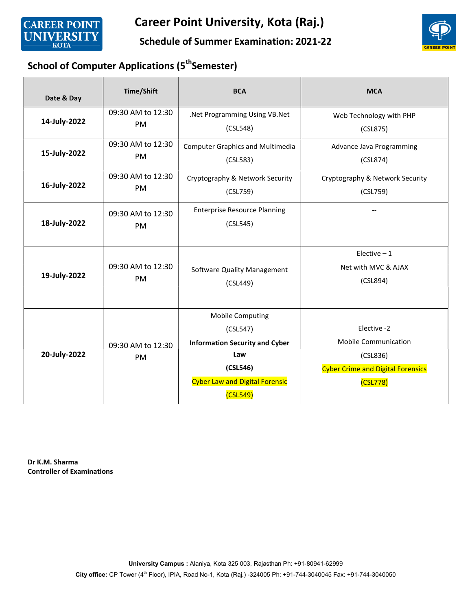



#### Schedule of Summer Examination: 2021-22

## School of Computer Applications (5<sup>th</sup>Semester)

| Date & Day   | <b>Time/Shift</b>              | <b>BCA</b>                                                                                                                                           | <b>MCA</b>                                                                                                     |
|--------------|--------------------------------|------------------------------------------------------------------------------------------------------------------------------------------------------|----------------------------------------------------------------------------------------------------------------|
| 14-July-2022 | 09:30 AM to 12:30<br><b>PM</b> | .Net Programming Using VB.Net<br>(CSL548)                                                                                                            | Web Technology with PHP<br>(CSL875)                                                                            |
| 15-July-2022 | 09:30 AM to 12:30<br>PM        | <b>Computer Graphics and Multimedia</b><br>(CSL583)                                                                                                  | Advance Java Programming<br>(CSL874)                                                                           |
| 16-July-2022 | 09:30 AM to 12:30<br><b>PM</b> | Cryptography & Network Security<br>(CSL759)                                                                                                          | Cryptography & Network Security<br>(CSL759)                                                                    |
| 18-July-2022 | 09:30 AM to 12:30<br><b>PM</b> | <b>Enterprise Resource Planning</b><br>(CSL545)                                                                                                      |                                                                                                                |
| 19-July-2022 | 09:30 AM to 12:30<br><b>PM</b> | Software Quality Management<br>(CSL449)                                                                                                              | Elective $-1$<br>Net with MVC & AJAX<br>(CSL894)                                                               |
| 20-July-2022 | 09:30 AM to 12:30<br>PM        | <b>Mobile Computing</b><br>(CSL547)<br><b>Information Security and Cyber</b><br>Law<br>(CSL546)<br><b>Cyber Law and Digital Forensic</b><br>(CSL549) | Elective -2<br><b>Mobile Communication</b><br>(CSLS36)<br><b>Cyber Crime and Digital Forensics</b><br>(CSL778) |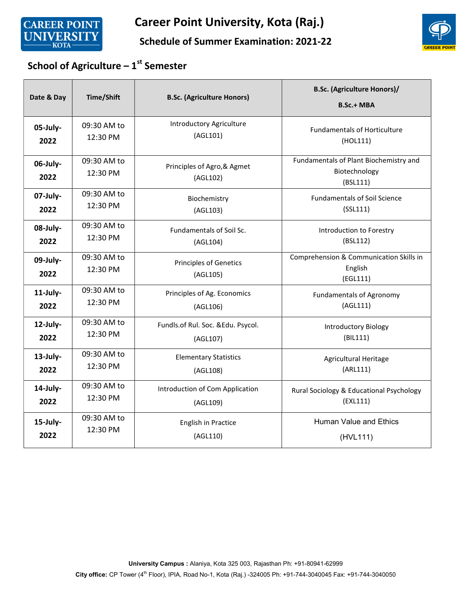



#### Schedule of Summer Examination: 2021-22

# School of Agriculture –  $1<sup>st</sup>$  Semester

| Date & Day       | <b>Time/Shift</b>       | <b>B.Sc. (Agriculture Honors)</b>         | <b>B.Sc. (Agriculture Honors)/</b><br><b>B.Sc.+ MBA</b>             |
|------------------|-------------------------|-------------------------------------------|---------------------------------------------------------------------|
| 05-July-         | 09:30 AM to             | <b>Introductory Agriculture</b>           | <b>Fundamentals of Horticulture</b>                                 |
| 2022             | 12:30 PM                | (AGL101)                                  | (HOL111)                                                            |
| 06-July-<br>2022 | 09:30 AM to<br>12:30 PM | Principles of Agro, & Agmet<br>(AGL102)   | Fundamentals of Plant Biochemistry and<br>Biotechnology<br>(BSL111) |
| 07-July-         | 09:30 AM to             | Biochemistry                              | <b>Fundamentals of Soil Science</b>                                 |
| 2022             | 12:30 PM                | (AGL103)                                  | (SSL111)                                                            |
| 08-July-         | 09:30 AM to             | <b>Fundamentals of Soil Sc.</b>           | Introduction to Forestry                                            |
| 2022             | 12:30 PM                | (AGL104)                                  | (BSL112)                                                            |
| 09-July-<br>2022 | 09:30 AM to<br>12:30 PM | <b>Principles of Genetics</b><br>(AGL105) | Comprehension & Communication Skills in<br>English<br>(EGL111)      |
| 11-July-         | 09:30 AM to             | Principles of Ag. Economics               | <b>Fundamentals of Agronomy</b>                                     |
| 2022             | 12:30 PM                | (AGL106)                                  | (AGL111)                                                            |
| 12-July-         | 09:30 AM to             | Fundls.of Rul. Soc. &Edu. Psycol.         | <b>Introductory Biology</b>                                         |
| 2022             | 12:30 PM                | (AGL107)                                  | (BIL111)                                                            |
| 13-July-         | 09:30 AM to             | <b>Elementary Statistics</b>              | <b>Agricultural Heritage</b>                                        |
| 2022             | 12:30 PM                | (AGL108)                                  | (ARL111)                                                            |
| 14-July-         | 09:30 AM to             | Introduction of Com Application           | Rural Sociology & Educational Psychology                            |
| 2022             | 12:30 PM                | (AGL109)                                  | (EXL111)                                                            |
| 15-July-         | 09:30 AM to             | <b>English in Practice</b>                | <b>Human Value and Ethics</b>                                       |
| 2022             | 12:30 PM                | (AGL110)                                  | (HVL111)                                                            |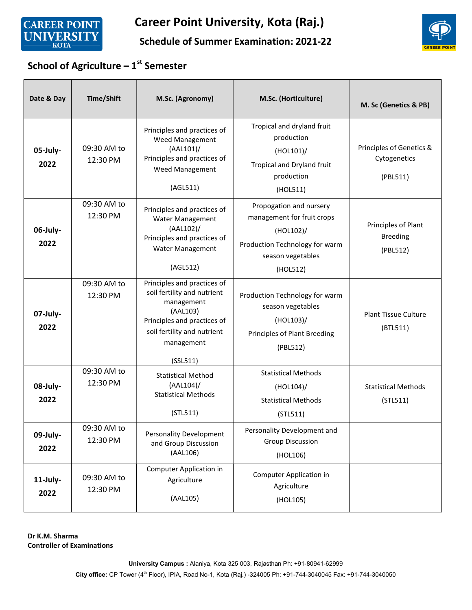



#### Schedule of Summer Examination: 2021-22

# School of Agriculture –  $1<sup>st</sup>$  Semester

| Date & Day       | <b>Time/Shift</b>       | M.Sc. (Agronomy)                                                                                                                                                             | M.Sc. (Horticulture)                                                                                                                  | M. Sc (Genetics & PB)                                |
|------------------|-------------------------|------------------------------------------------------------------------------------------------------------------------------------------------------------------------------|---------------------------------------------------------------------------------------------------------------------------------------|------------------------------------------------------|
| 05-July-<br>2022 | 09:30 AM to<br>12:30 PM | Principles and practices of<br>Weed Management<br>(AAL101)<br>Principles and practices of<br>Weed Management<br>(AGL511)                                                     | Tropical and dryland fruit<br>production<br>(HOL101)/<br>Tropical and Dryland fruit<br>production<br>(HOL511)                         | Principles of Genetics &<br>Cytogenetics<br>(PBL511) |
| 06-July-<br>2022 | 09:30 AM to<br>12:30 PM | Principles and practices of<br>Water Management<br>(AAL102)<br>Principles and practices of<br>Water Management<br>(AGL512)                                                   | Propogation and nursery<br>management for fruit crops<br>(HOL102)/<br>Production Technology for warm<br>season vegetables<br>(HOL512) | Principles of Plant<br><b>Breeding</b><br>(PBL512)   |
| 07-July-<br>2022 | 09:30 AM to<br>12:30 PM | Principles and practices of<br>soil fertility and nutrient<br>management<br>(AAL103)<br>Principles and practices of<br>soil fertility and nutrient<br>management<br>(SSL511) | Production Technology for warm<br>season vegetables<br>(HOL103)/<br>Principles of Plant Breeding<br>(PBL512)                          | <b>Plant Tissue Culture</b><br>(BTL511)              |
| 08-July-<br>2022 | 09:30 AM to<br>12:30 PM | <b>Statistical Method</b><br>$(AAL104)$ /<br><b>Statistical Methods</b><br>(STL511)                                                                                          | <b>Statistical Methods</b><br>(HOL104)<br><b>Statistical Methods</b><br>(STL511)                                                      | <b>Statistical Methods</b><br>(STL511)               |
| 09-July-<br>2022 | 09:30 AM to<br>12:30 PM | Personality Development<br>and Group Discussion<br>(AAL106)                                                                                                                  | Personality Development and<br><b>Group Discussion</b><br>(HOL106)                                                                    |                                                      |
| 11-July-<br>2022 | 09:30 AM to<br>12:30 PM | Computer Application in<br>Agriculture<br>(AAL105)                                                                                                                           | Computer Application in<br>Agriculture<br>(HOL105)                                                                                    |                                                      |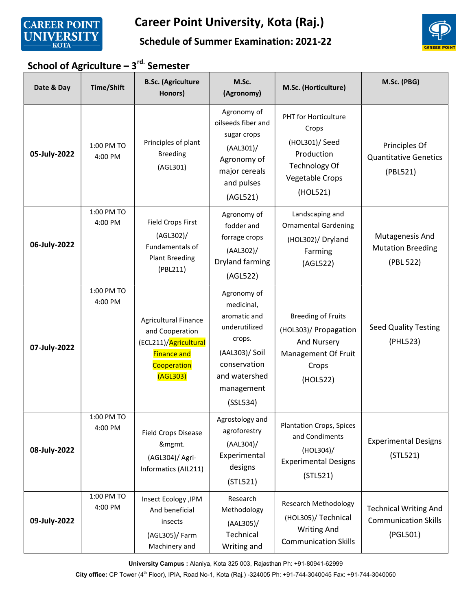



#### Schedule of Summer Examination: 2021-22

# School of Agriculture –  $3<sup>rd.</sup>$  Semester

| Date & Day   | Time/Shift            | <b>B.Sc.</b> (Agriculture<br>Honors)                                                                                     | M.Sc.<br>(Agronomy)                                                                                                                               | M.Sc. (Horticulture)                                                                                                        | M.Sc. (PBG)                                                             |
|--------------|-----------------------|--------------------------------------------------------------------------------------------------------------------------|---------------------------------------------------------------------------------------------------------------------------------------------------|-----------------------------------------------------------------------------------------------------------------------------|-------------------------------------------------------------------------|
| 05-July-2022 | 1:00 PM TO<br>4:00 PM | Principles of plant<br><b>Breeding</b><br>(AGL301)                                                                       | Agronomy of<br>oilseeds fiber and<br>sugar crops<br>(AAL301)<br>Agronomy of<br>major cereals<br>and pulses<br>(AGL521)                            | <b>PHT</b> for Horticulture<br>Crops<br>(HOL301)/ Seed<br>Production<br><b>Technology Of</b><br>Vegetable Crops<br>(HOL521) | Principles Of<br><b>Quantitative Genetics</b><br>(PBL521)               |
| 06-July-2022 | 1:00 PM TO<br>4:00 PM | <b>Field Crops First</b><br>(AGL302)/<br>Fundamentals of<br><b>Plant Breeding</b><br>(PBL211)                            | Agronomy of<br>fodder and<br>forrage crops<br>(AAL302)/<br>Dryland farming<br>(AGL522)                                                            | Landscaping and<br><b>Ornamental Gardening</b><br>(HOL302)/ Dryland<br>Farming<br>(AGL522)                                  | Mutagenesis And<br><b>Mutation Breeding</b><br>(PBL 522)                |
| 07-July-2022 | 1:00 PM TO<br>4:00 PM | <b>Agricultural Finance</b><br>and Cooperation<br>(ECL211)/Agricultural<br><b>Finance and</b><br>Cooperation<br>(AGL303) | Agronomy of<br>medicinal,<br>aromatic and<br>underutilized<br>crops.<br>(AAL303)/ Soil<br>conservation<br>and watershed<br>management<br>(SSL534) | <b>Breeding of Fruits</b><br>(HOL303)/ Propagation<br>And Nursery<br>Management Of Fruit<br>Crops<br>(HOL522)               | <b>Seed Quality Testing</b><br>(PHL523)                                 |
| 08-July-2022 | 1:00 PM TO<br>4:00 PM | Field Crops Disease<br>&mgmt.<br>(AGL304)/ Agri-<br>Informatics (AIL211)                                                 | Agrostology and<br>agroforestry<br>$(AAL304)$ /<br>Experimental<br>designs<br>(STL521)                                                            | <b>Plantation Crops, Spices</b><br>and Condiments<br>$(HOL304)$ /<br><b>Experimental Designs</b><br>(STL521)                | <b>Experimental Designs</b><br>(STL521)                                 |
| 09-July-2022 | 1:00 PM TO<br>4:00 PM | Insect Ecology , IPM<br>And beneficial<br>insects<br>(AGL305)/ Farm<br>Machinery and                                     | Research<br>Methodology<br>(AAL305)/<br>Technical<br>Writing and                                                                                  | <b>Research Methodology</b><br>(HOL305)/ Technical<br><b>Writing And</b><br><b>Communication Skills</b>                     | <b>Technical Writing And</b><br><b>Communication Skills</b><br>(PGL501) |

University Campus : Alaniya, Kota 325 003, Rajasthan Ph: +91-80941-62999

City office: CP Tower (4<sup>th</sup> Floor), IPIA, Road No-1, Kota (Raj.) -324005 Ph: +91-744-3040045 Fax: +91-744-3040050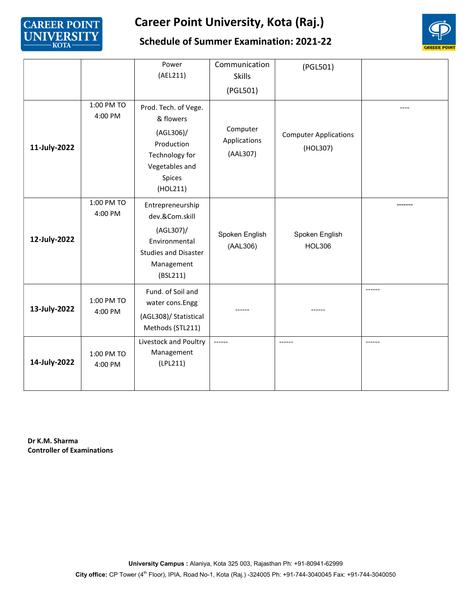



#### Schedule of Summer Examination: 2021-22

|              |                       | Power                                                                                                                     | Communication                        | (PGL501)                                 |  |
|--------------|-----------------------|---------------------------------------------------------------------------------------------------------------------------|--------------------------------------|------------------------------------------|--|
|              |                       | (AEL211)                                                                                                                  | <b>Skills</b><br>(PGL501)            |                                          |  |
| 11-July-2022 | 1:00 PM TO<br>4:00 PM | Prod. Tech. of Vege.<br>& flowers<br>(AGL306)/<br>Production<br>Technology for<br>Vegetables and<br>Spices<br>(HOL211)    | Computer<br>Applications<br>(AAL307) | <b>Computer Applications</b><br>(HOL307) |  |
| 12-July-2022 | 1:00 PM TO<br>4:00 PM | Entrepreneurship<br>dev.&Com.skill<br>(AGL307)/<br>Environmental<br><b>Studies and Disaster</b><br>Management<br>(BSL211) | Spoken English<br>(AAL306)           | Spoken English<br><b>HOL306</b>          |  |
| 13-July-2022 | 1:00 PM TO<br>4:00 PM | Fund. of Soil and<br>water cons.Engg<br>(AGL308)/ Statistical<br>Methods (STL211)                                         |                                      |                                          |  |
| 14-July-2022 | 1:00 PM TO<br>4:00 PM | Livestock and Poultry<br>Management<br>(LPL211)                                                                           | ------                               |                                          |  |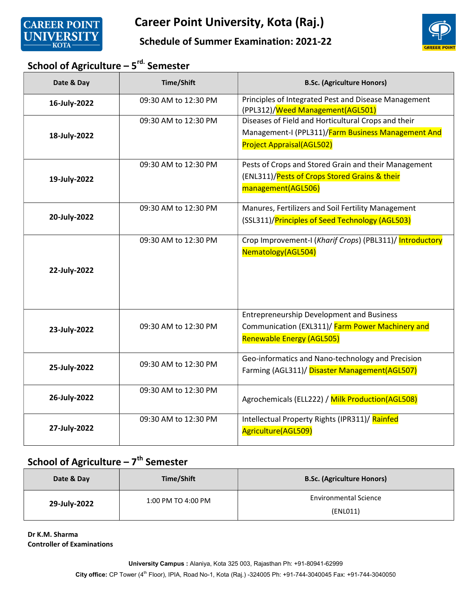





## School of Agriculture –  $5<sup>rd</sup>$  Semester

| Date & Day   | Time/Shift           | <b>B.Sc. (Agriculture Honors)</b>                                                                                                             |
|--------------|----------------------|-----------------------------------------------------------------------------------------------------------------------------------------------|
| 16-July-2022 | 09:30 AM to 12:30 PM | Principles of Integrated Pest and Disease Management<br>(PPL312)/Weed Management(AGL501)                                                      |
| 18-July-2022 | 09:30 AM to 12:30 PM | Diseases of Field and Horticultural Crops and their<br>Management-I (PPL311)/Farm Business Management And<br><b>Project Appraisal(AGL502)</b> |
| 19-July-2022 | 09:30 AM to 12:30 PM | Pests of Crops and Stored Grain and their Management<br>(ENL311)/Pests of Crops Stored Grains & their<br>management(AGL506)                   |
| 20-July-2022 | 09:30 AM to 12:30 PM | Manures, Fertilizers and Soil Fertility Management<br>(SSL311)/Principles of Seed Technology (AGL503)                                         |
| 22-July-2022 | 09:30 AM to 12:30 PM | Crop Improvement-I (Kharif Crops) (PBL311)/ Introductory<br>Nematology(AGL504)                                                                |
| 23-July-2022 | 09:30 AM to 12:30 PM | <b>Entrepreneurship Development and Business</b><br>Communication (EXL311)/ Farm Power Machinery and<br><b>Renewable Energy (AGL505)</b>      |
| 25-July-2022 | 09:30 AM to 12:30 PM | Geo-informatics and Nano-technology and Precision<br>Farming (AGL311)/ Disaster Management(AGL507)                                            |
| 26-July-2022 | 09:30 AM to 12:30 PM | Agrochemicals (ELL222) / Milk Production(AGL508)                                                                                              |
| 27-July-2022 | 09:30 AM to 12:30 PM | Intellectual Property Rights (IPR311)/ Rainfed<br>Agriculture(AGL509)                                                                         |

## School of Agriculture –  $7^{th}$  Semester

| Date & Day   | Time/Shift         | <b>B.Sc. (Agriculture Honors)</b>        |
|--------------|--------------------|------------------------------------------|
| 29-July-2022 | 1:00 PM TO 4:00 PM | <b>Environmental Science</b><br>(ENLO11) |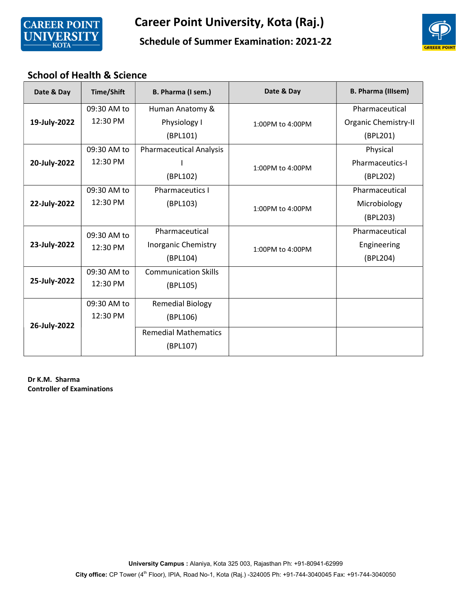

#### Schedule of Summer Examination: 2021-22

#### School of Health & Science

| Date & Day   | <b>Time/Shift</b> | B. Pharma (I sem.)             | Date & Day       | <b>B. Pharma (Illsem)</b> |
|--------------|-------------------|--------------------------------|------------------|---------------------------|
|              | 09:30 AM to       | Human Anatomy &                |                  | Pharmaceutical            |
| 19-July-2022 | 12:30 PM          | Physiology I                   | 1:00PM to 4:00PM | Organic Chemistry-II      |
|              |                   | (BPL101)                       |                  | (BPL201)                  |
|              | 09:30 AM to       | <b>Pharmaceutical Analysis</b> |                  | Physical                  |
| 20-July-2022 | 12:30 PM          |                                | 1:00PM to 4:00PM | <b>Pharmaceutics-I</b>    |
|              |                   | (BPL102)                       |                  | (BPL202)                  |
|              | 09:30 AM to       | <b>Pharmaceutics I</b>         |                  | Pharmaceutical            |
| 22-July-2022 | 12:30 PM          | (BPL103)                       | 1:00PM to 4:00PM | Microbiology              |
|              |                   |                                |                  | (BPL203)                  |
|              | 09:30 AM to       | Pharmaceutical                 |                  | Pharmaceutical            |
| 23-July-2022 | 12:30 PM          | Inorganic Chemistry            | 1:00PM to 4:00PM | Engineering               |
|              |                   | (BPL104)                       |                  | (BPL204)                  |
|              | 09:30 AM to       | <b>Communication Skills</b>    |                  |                           |
| 25-July-2022 | 12:30 PM          | (BPL105)                       |                  |                           |
|              | 09:30 AM to       | <b>Remedial Biology</b>        |                  |                           |
|              | 12:30 PM          | (BPL106)                       |                  |                           |
| 26-July-2022 |                   | <b>Remedial Mathematics</b>    |                  |                           |
|              |                   | (BPL107)                       |                  |                           |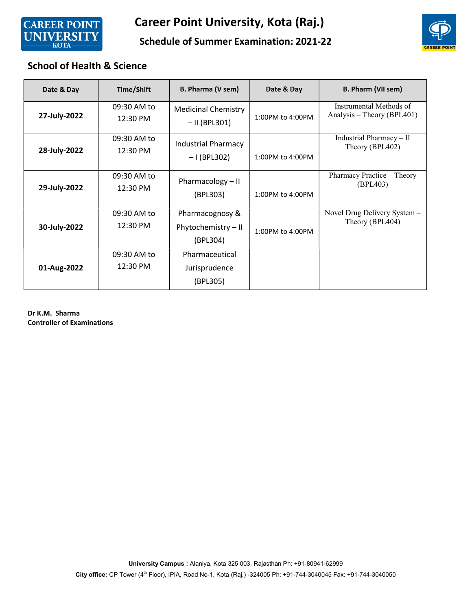



#### Schedule of Summer Examination: 2021-22

#### School of Health & Science

| Date & Day   | Time/Shift              | B. Pharma (V sem)                                  | Date & Day       | B. Pharm (VII sem)                                    |
|--------------|-------------------------|----------------------------------------------------|------------------|-------------------------------------------------------|
| 27-July-2022 | 09:30 AM to<br>12:30 PM | <b>Medicinal Chemistry</b><br>$-$ II (BPL301)      | 1:00PM to 4:00PM | Instrumental Methods of<br>Analysis - Theory (BPL401) |
| 28-July-2022 | 09:30 AM to<br>12:30 PM | <b>Industrial Pharmacy</b><br>$-1$ (BPL302)        | 1:00PM to 4:00PM | Industrial Pharmacy $-$ II<br>Theory (BPL402)         |
| 29-July-2022 | 09:30 AM to<br>12:30 PM | Pharmacology $-$ II<br>(BPL303)                    | 1:00PM to 4:00PM | Pharmacy Practice – Theory<br>(BPL403)                |
| 30-July-2022 | 09:30 AM to<br>12:30 PM | Pharmacognosy &<br>Phytochemistry - II<br>(BPL304) | 1:00PM to 4:00PM | Novel Drug Delivery System -<br>Theory (BPL404)       |
| 01-Aug-2022  | 09:30 AM to<br>12:30 PM | Pharmaceutical<br>Jurisprudence<br>(BPL305)        |                  |                                                       |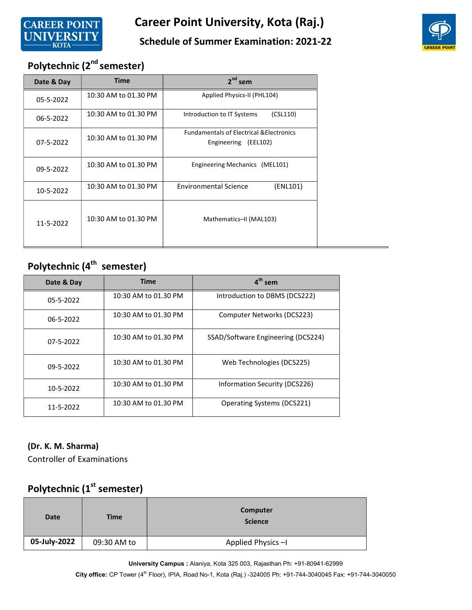

#### Schedule of Summer Examination: 2021-22



# Polytechnic (2<sup>nd</sup> semester)

| Date & Day | <b>Time</b>          | $2^{nd}$ sem                                                                |  |
|------------|----------------------|-----------------------------------------------------------------------------|--|
| 05-5-2022  | 10:30 AM to 01.30 PM | Applied Physics-II (PHL104)                                                 |  |
| 06-5-2022  | 10:30 AM to 01.30 PM | (CSL110)<br>Introduction to IT Systems                                      |  |
| 07-5-2022  | 10:30 AM to 01.30 PM | <b>Fundamentals of Electrical &amp; Electronics</b><br>Engineering (EEL102) |  |
| 09-5-2022  | 10:30 AM to 01.30 PM | Engineering Mechanics (MEL101)                                              |  |
| 10-5-2022  | 10:30 AM to 01.30 PM | <b>Environmental Science</b><br>(ENL101)                                    |  |
| 11-5-2022  | 10:30 AM to 01.30 PM | Mathematics-II (MAL103)                                                     |  |

# Polytechnic (4<sup>th</sup> semester)

| Date & Day | <b>Time</b>          | $4th$ sem                          |
|------------|----------------------|------------------------------------|
| 05-5-2022  | 10:30 AM to 01.30 PM | Introduction to DBMS (DCS222)      |
| 06-5-2022  | 10:30 AM to 01.30 PM | Computer Networks (DCS223)         |
| 07-5-2022  | 10:30 AM to 01.30 PM | SSAD/Software Engineering (DCS224) |
| 09-5-2022  | 10:30 AM to 01.30 PM | Web Technologies (DCS225)          |
| 10-5-2022  | 10:30 AM to 01.30 PM | Information Security (DCS226)      |
| 11-5-2022  | 10:30 AM to 01.30 PM | Operating Systems (DCS221)         |

#### (Dr. K. M. Sharma)

Controller of Examinations

## Polytechnic (1<sup>st</sup> semester)

| <b>Date</b>  | <b>Time</b> | Computer<br><b>Science</b> |
|--------------|-------------|----------------------------|
| 05-July-2022 | 09:30 AM to | Applied Physics-I          |

University Campus : Alaniya, Kota 325 003, Rajasthan Ph: +91-80941-62999

City office: CP Tower (4<sup>th</sup> Floor), IPIA, Road No-1, Kota (Raj.) -324005 Ph: +91-744-3040045 Fax: +91-744-3040050